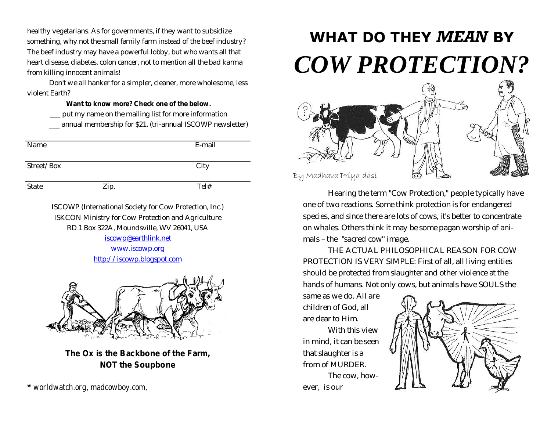healthy vegetarians. As for governments, if they want to subsidize something, why not the small family farm instead of the beef industry? The beef industry may have a powerful lobby, but who wants all that heart disease, diabetes, colon cancer, not to mention all the bad karma from killing innocent animals!

Don't we all hanker for a simpler, cleaner, more wholesome, less violent Earth?

**Want to know more? Check one of the below.**

\_\_\_ put my name on the mailing list for more information

\_\_\_ annual membership for \$21. (tri-annual ISCOWP newsletter)

| Name       |      | E-mail |
|------------|------|--------|
| Street/Box |      | City   |
| State      | Zip. | Tel#   |

ISCOWP (International Society for Cow Protection, Inc.) ISKCON Ministry for Cow Protection and Agriculture RD 1 Box 322A, Moundsville, WV 26041, USA [iscowp@earthlink.net](mailto:iscowp@earthlink.net)

<www.iscowp.org> <http://iscowp.blogspot.com>



*The Ox is the Backbone of the Farm, NOT the Soupbone*

*\* worldwatch.org, madcowboy.com,* 

## **WHAT DO THEY** *MEAN* **BY** *COW PROTECTION?*



Hearing the term "Cow Protection," people typically have one of two reactions. Some think protection is for endangered species, and since there are lots of cows, it's better to concentrate on whales. Others think it may be some pagan worship of animals – the "sacred cow" image.

THE ACTUAL PHILOSOPHICAL REASON FOR COW PROTECTION IS VERY SIMPLE: First of all, all living entities should be protected from slaughter and other violence at the hands of humans. Not only cows, but animals have SOULS the

same as we do. All are children of God, all are dear to Him.

With this view in mind, it can be seen that slaughter is a from of MURDER.

The cow, however, is our